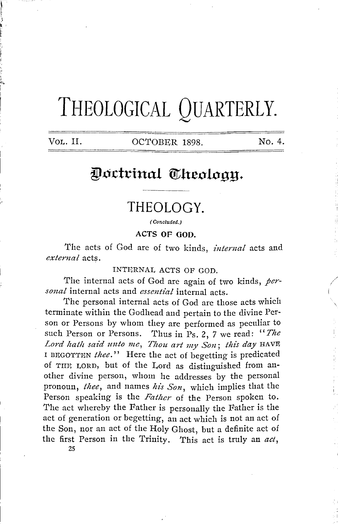# **THEOLOGICAL QUARTERLY.**

VOL. II. 0CTOBER 1898. No. 4.

# Doctrinal Theology.

## **THEOLOGY.**

( Concluded.)

**ACTS OF GOD.** 

The acts of God are of two kinds, *internal* acts and *external* acts.

INTERNAL ACTS OF GOD.

The internal acts of God are again of two kinds, *personal* internal acts and *essential* internal acts.

The personal internal acts of God are those acts which terminate within the Godhead and pertain to the divine Person or Persons by whom they are performed as peculiar to such Person or Persons. Thus in Ps. 2, 7 we read: "The Lord hath said unto me, Thou art my Son; this day HAVE I BEGOTTEN *thee.*" Here the act of begetting is predicated of THE LORD, but of the Lord as distinguished from another divine person, whom he addresses by the personal pronoun, *thee,* and names *his Son,* which implies that the Person speaking is the *Father* of the Person spoken to. The act whereby the Father is personally the Father is the act of generation or begetting, an act which is not an act of the Son, nor an act of the Holy Ghost, but a definite act of the first Person in the Trinity. This act is truly an *act,* 

25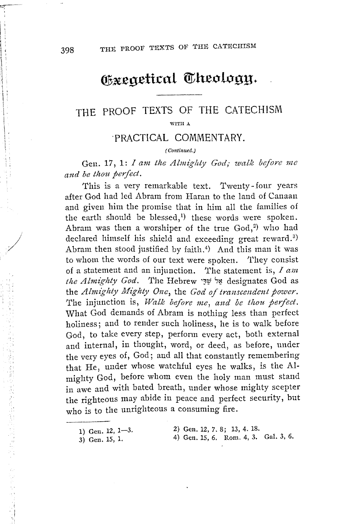# Gxegetical Theology.

### THE PROOF TEXTS OF THE CATECHISM WITH A

#### ·PRACTICAL COMMENTARY.

#### ( Continued.)

Gen. 17, 1: *I am the Almighty God; walk before me and be thou peifect.* 

'fhis is a very remarkable text. Twenty-four years after God had led Abram from Haran to the land of Canaan and given him the promise that in him all the families of the earth should be blessed,<sup>1</sup>) these words were spoken. Abram was then a worshiper of the true  $God<sub>1</sub><sup>2</sup>$  who had declared himself his shield and exceeding great reward.<sup>3)</sup> Abram then stood justified by faith.<sup>4</sup>) And this man it was to whom the words of our text were spoken. They consist of a statement and an injunction. 'l'he statement is, *I am*  the Almighty God. The Hebrew אֵל שָׁדָּי designates God as the *Almighty Mighty One*, the *God of transcendent power*. The injunction is, Walk before me, and be thou perfect. What God demands of Abram is nothing less than perfect holiness; and to render such holiness, he is to walk before God, to take every step, perform every act, both external and internal, in thought, word, or deed, as before, under the very eyes of, God; and all that constantly remembering that He, under whose watchful eyes he walks, is the Almighty God, before whom even the holy man must stand in awe and with bated breath, under whose mighty scepter the righteous may abide in peace and perfect security, but who is to the unrighteous a consuming fire.

| 1) Gen. 12, $1-3$ . |  | 2) Gen. 12, 7, 8; 13, 4. 18.         |  |  |  |  |  |
|---------------------|--|--------------------------------------|--|--|--|--|--|
| 3) Gen. 15, 1.      |  | 4) Gen. 15, 6. Rom. 4, 3. Gal. 3, 6. |  |  |  |  |  |

!..:; \_\_\_ ,.

医前肢 表作 地名加拿大西班牙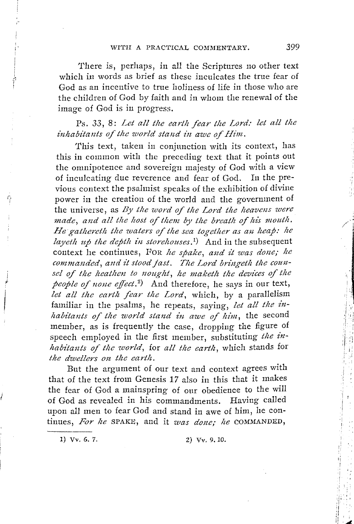There is, perhaps, in all the Scriptures no other text which in words as brief as these inculcates the true fear of God as an incentive to true holiness of life in those who are the children of God by faith and in whom the renewal of the image of God is in progress.

Ps. 33, 8: *Let all the earth fear the Lord: let all the inhabitants of tlie 'world stand in awe of Him.* 

This text, taken in conjunction with its context, has this in common with the preceding text that it points out the omnipotence and sovereign majesty of God with a view of inculcating due reverence and fear of God. In the previous context the psalmist speaks of the exhibition of divine power in the creation of the world and the government of the universe, as *By the word of the Lord the heavens were made, and all the host of them by the breath of his mouth. He gathereth the waters of the sea together as an heap: he layeth up the depth in storehouses*,<sup>1</sup>) And in the subsequent context he continues, For *he spake, and it was done; he commanded, and it stood fast. The Lord bringeth the coun*sel of the heathen to nought, he maketh the devices of the people of none effect.<sup>2</sup>) And therefore, he says in our text, *let all the earth fear the Lord,* which, by a parallelism familiar in the psalms, he repeats, saying, *let all the inhabitants of the world stand in awe of him,* the second member, as is frequently the case, dropping the figure of speech employed in the first member, substituting *the inhabitants of the world,* for *all the earth,* which stands for *the dwellers on the earth.* 

But the argument of our text and context agrees with that of the text from Genesis 17 also in this that it makes the fear of God a mainspring of our obedience to the will of God as revealed in his commandments. Having called upon all men to fear God and stand in awe of him, he continues, For he SPAKE, and it *was done; he* COMMANDED,

' I'

i f

1) Vv. 6. 7. 2) Vv. 9. 10.

I <sup>i</sup> I !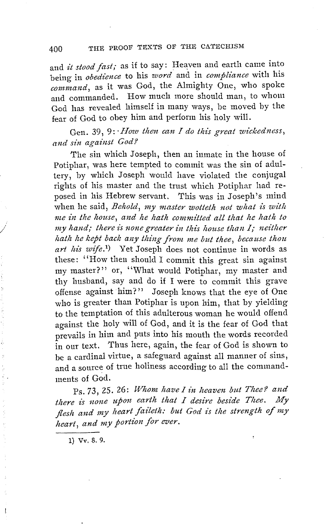and *it stood fast;* as if to say: Heaven and earth came into being in *obedience* to his *word* and in *compliance* with his *command,* as it was God, the Almighty One, who spoke and commanded. How much more should man, to whom God has revealed himself in many ways, be moved by the fear of God to obey him and perform his holy will.

Gen. 39, 9: *How then can I do this great wickedness*, *and sin against God?* 

The sin which Joseph, then an inmate in the house of Potiphar, was here tempted to commit was the sin of adultery, by which Joseph would have violated the conjugal rights of his master and the trust which Potiphar had reposed in his Hebrew servant. This was in Joseph's mind when he said, *Behold, my master wotteth not what is with me in the house, and he hath committed all that he hath to my hand; there is none greater in this house than I; neither hath he kept back any tiling from me but thee, because thou*  art his wife.<sup>1</sup>) Yet Joseph does not continue in words as these: "How then should I commit this great sin against my master?" or, "What would Potiphar, my master and thy husband, say and do if I were to commit this grave offense against him?" Joseph knows that the eye of One who is greater than Potiphar is upon him, that by yielding to the temptation of this adulterous woman he would offend against the holy will of God, and it is the fear of God that prevails in him and puts into his mouth the words recorded in our text. Thus here, again, the fear of God is shown to be a cardinal virtue, a safeguard against all manner of sins, and a source of true holiness according to all the commandments of God.

Ps. 73, 25. 26: Whom have I in heaven but Thee? and there is none upon earth that I desire beside Thee. My flesh and my heart faileth: but God is the strength of my *heart, and my portion for ever.* 

1) Vv. 8. 9.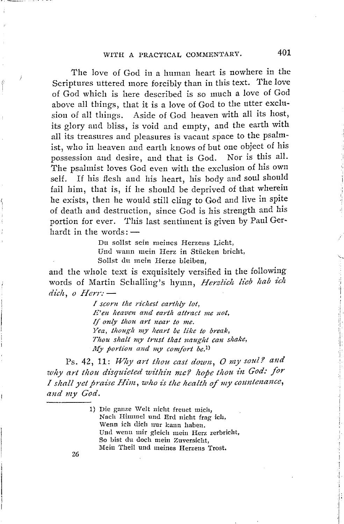The love of God in a human heart is nowhere in the Scriptures uttered more forcibly than in this text. The love of God which is here described is so much a love of God above all things, that it is a love of God to the utter exclusion of all things. Aside of God heaven with all its host, its glory and bliss, is void and empty, and the earth with all its treasures and pleasures is vacant space to the psalmist, who in heaven and earth knows of but one object of his possession and desire, and that is God. Nor is this all. 1'he psalmist loves God even with the exclusion of his own self. If his flesh and his heart, his body and soul should fail him, that is, if he should be deprived of that wherein he exists, then he would still cling to God and live in spite of death and destmction, since God is his strength and his portion for ever. This last sentiment is given by Paul Gerhardt in the words: $-$ 

> Du sollst sein meines Herzens Licht, Und wa1m mein Herz in Stiicken bricht, Sollst du mein Herze bleiben,

and the whole text is exquisitely versified in the following words of Martin Schalling's hymn, Herzlich lieb hab ich *dich, o Herr:* -

> *I scorn the ric/1est earthly lot, E'en heaven and earth attract me not, If only thou art near to me. Yea, though my heart be like to break, Tlwu shalt my trust that naught can shake, My portion and my comfort be.*<sup>1</sup>)

Ps. 42, 11: Why art thou cast down, O my soul? and *why art thou disquieted within me? hope thou in God: for I shall yet praise Him, who is the health of my countenance,* and my God.

> 1) Die gauze \Velt uicht freuet mich, Nach Himmel und Erd nicht frag ich, Wenn ich dich nur kann haben. Uml wenn mir gleich mein Herz zerbricht, So hist du doch mein Zuversicht, Mein Theil und meines Herzens Trost.

26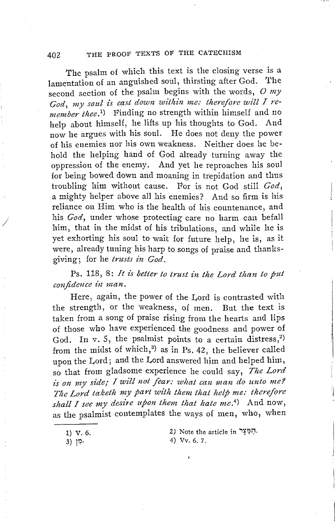#### 402 THE PROOF TEXTS OF THE CATECHISM

The psalm of which this text is the closing verse is a lamentation of an anguished soul, thirsting after God. The second section of the psalm begins with the words, *0 my*  God, my soul is cast down within me: therefore will I re*member thee.*<sup>1</sup>) Finding no strength within himself and no help about himself, he lifts up his thoughts to God. And now he argues with his soul. He does not deny the power of his enemies nor his own weakness. Neither does he behold the helping hand of God already turning away the oppression of the enemy. And yet he reproaches his soul for being bowed down and moaning in trepidation and thus troubling him without cause. For is not God still *God,*  a mighty helper above all his enemies? And so firm is his reliance on Him who is the health of his countenance, and his *God,* under whose protecting care no harm can befall him, that in the midst of his tribulations, and while he is yet exhorting his soul to wait for future help, he is, as it were, already tuning his harp to songs of praise and thanksgiving; for he *trusts in God.* 

Ps. 118, 8: *It is better to trust in the Lord than to put confidence in man.* 

Here, again, the power of the Lord is contrasted with the strength, or the weakness, of men. But the text is taken from a song of praise rising from the hearts and lips of those who have experienced the goodness and power of God. In v. 5, the psalmist points to a certain distress,<sup>2)</sup> from the midst of which, $3$ ) as in Ps. 42, the believer called upon the Lord; and the Lord answered him and helped him, so that from gladsome experience he could say, *The Lord*  is on my side; *I will not fear: what can man do unto me?* The Lord taketh my part with them that help me: therefore shall I see my desire upon them that hate me.<sup>4</sup>) And now, as the psalmist contemplates the ways of men, who, when

1) v. 6.

2) Note the article in <sup>12</sup>7. 4) Vv. 6. 7.

3) 11?·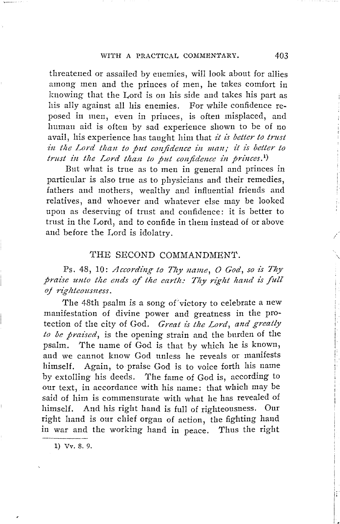threatened or assailed by enemies, will look about for allies among men and the princes of men, he takes comfort in knowing that the Lord is on his side and takes his part as his ally against all his enemies. For while confidence reposed in men, even in princes, is often misplaced, and human aid is often by sad experience shown to be of no avail, his experience has taught him that *it is better to trust*  in the Lord than to put confidence in man; it is better to *trust in the Lord than to put confidence in princes.*<sup>1</sup>)

But what is true as to men in general and princes in particular is also true as to physicians and their remedies, fathers and mothers, wealthy and influential friends and relatives, and whoever and whatever else may be looked upon as deserving of trust and confidence: it is better to trust in the Lord, and to confide in them instead of or above and before the Lord is idolatry.

#### THE SECOND COMMANDMENT.

Ps. 48, 10: *According to Thy name, 0 God, so* is *Thy praise unto the ends of the earth: Thy right hand is full oj righteousness.* 

The 48th psalm is a song of victory to celebrate a new manifestation of divine power and greatness in the protection of the city of God. *Great is the Lord, and greatly to be praised,* is the opening strain and the burden of the psalm. The name of God is that by which he is known, and we cannot know God unless he reveals or manifests himself. Again, to praise God is to voice forth his name by extolling his deeds. 'I'he fame of God is, according to our text, in accordance with his name: that which may be said of him is commensurate with what he has revealed of himself. And his right hand is full of righteousness. Our right hand is our chief organ of action, the fighting hand in war and the working hand in peace. Thus the right

l) Vv. 8. 9.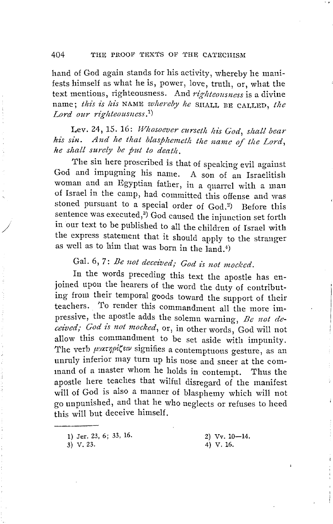#### 404 THE PROOF TEXTS OF THE CATECHISM

hand of God again stands for his activity, whereby he manifests himself as what he is, power, love, truth, or, what the text mentions, righteousness. And *rigltteousness* is a divine name; *this is his* NAME *whereby he* SHALL BE CALLED, the *Lord our righteousness. 1)* 

Lev. 24, 15. 16: *Whosoever curseth his God, shall bear* his sin. And he that blasphemeth the name of the Lord, *lie shall surely be put to deatlt.* 

The sin here proscribed is that of speaking evil against God and impugning his name. A son of an Israelitish woman and an Egyptian father, in a quarrel with a man of Israel in the camp, had committed this offense and was stoned pursuant to a special order of God.<sup>2</sup>) Before this sentence was executed,<sup>3</sup>) God caused the injunction set forth in our text to be published to all the children of Israel with the express statement that it should apply to the stranger as well as to him that was born in the  $\bar{1}$ and.<sup>4)</sup>

# Gal. 6, 7: *Be not deceived; God is not mocked.*

In the words preceding this text the apostle has enjoined upon the hearers of the word the duty of contributing from their temporal goods toward the support of their teachers. To render this commandment all the more impressive, the apostle adds the solemn warning, *Be not decez'ved; God is not mocked,* or, in other words, God will not allow this commandment to be set aside with impunity. The verb μυχτηρίζειν signifies a contemptuous gesture, as an unruly inferior may tum up his nose and sneer at the command of a master whom he holds in contempt. Thus the apostle here teaches that wilful disregard of the manifest will of God is also a manner of blasphemy which will not go unpunished, and that he who neglects or refuses to heed this will but deceive himself.

3) V. 23.

<sup>1)</sup> Jer. 23, 6; 33, 16.

<sup>2)</sup>  $Vv. 10-14$ . 4) V. 16.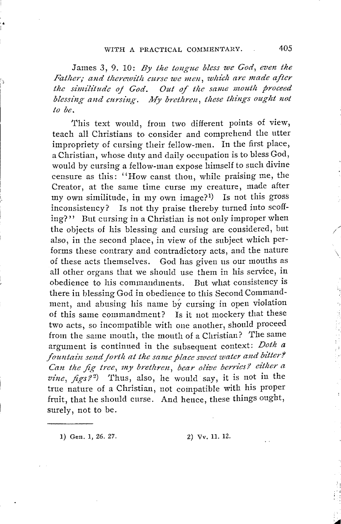James 3, 9. 10: *By the tongue bless we God, even the Father; and therewith curse we men, which are made after the similitude of God.* Out of the same mouth proceed blessing and cursing. My brethren, these things ought not *to be.* 

This text would, from two different points of view, teach all Christians to consider and comprehend the utter impropriety of cursing their fellow-men. In the first place, a Christian, whose duty and daily occupation is to bless God, would by cursing a fellow-man expose himself to such divine censure as this: ''How canst thou, while praising me, the Creator, at the same time curse my creature, made after my own similitude, in my own image? 1) Is not this gross inconsistency? Is not thy praise thereby turned iuto scoffing?'' But cursing in a Christian is not only improper when the objects of his blessing and cursing are considered, but also, in the second place, in view of the subject which performs these contrary and contradictory acts, and the nature of these acts themselves. God has given us our mouths as all other organs that we should use them in his service, in obedience to his commandments. But what consistency is there in blessing God in obedience to this Second Commandment, and abusing his name by cursing in open violation of this same commandment? Is it not mockery that these two acts, so incompatible with one another, should proceed from the same mouth, the mouth of a Christian? The same argument is continued in the subsequent context: *Doth a*  fountain send forth at the same place sweet water and bitter? *Can the fig tree, my brethren, bear olive berries? either a*  $vine, figs?$ <sup>2</sup>) Thus, also, he would say, it is not in the true nature of a Christian, not coinpatible with his proper fruit, that he should curse. And hence, these things ought, surely, not to be.

l) Gen. l, 26. 27. 2) Vv. 11. 12.

 $\mathbf{r}$ 

 $\checkmark$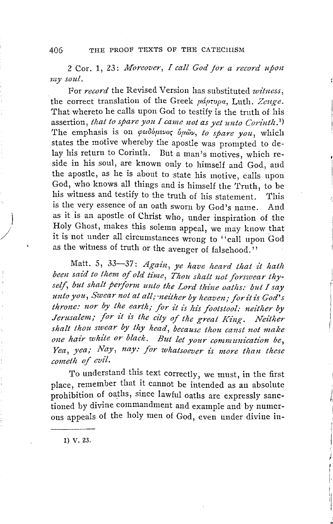406 THE PROOF TEXTS OF THE CATECHISM

2 Cor. 1, 23: *Moreover, I call God /or a record upon my soul.* 

For *record* the Revised Version has substituted *witness,*  the correct translation of the Greek *pdorupa*, Luth. Zeuge. That whereto he calls upon God to testify is the truth of his assertion, *that to spare you I came not as yet unto Corinth. 1)*  The emphasis is on  $\varphi \in \partial \omega$ , to spare you, which states the motive whereby the apostle was prompted to delay his return to Corinth. But a man's motives, which reside in his soul, are known only to himself and God, and the apostle, as he is about to state his motive, calls upon God, who knows all things and is himself the Truth, to be his witness and testify to the truth of his statement. This is the very essence of an oath sworn by God's name. And as it is an apostle of Christ who, under inspiration of the Holy Ghost, makes this solemn appeal, we may know that it is not under all circumstances wrong to "call upon God as the witness of truth or the avenger of falsehood.''

Matt. 5, 33-37: Again, ye have heard that it hath been said to them of old time, Thou shalt not forswear thyself, but shalt perform unto the Lord thine oaths: but I say unto you, Swear not at all; neither by heaven; for it is God's *throne: nor by the earth; for it is his footstool: neither by Jerusalem; for it is the city of the great King. Neither* shalt thou swear by thy head, because thou canst not make *one hair white or black. But let your communication be,* Yea, yea; Nay, nay: for whatsoever is more than these *cometh of evil.* 

To understand this text correctly, we must, in the first place, remember that it cannot be intended as an absolute prohibition of oaths, since lawful oaths are expressly sanctioned by divine commandment and example and by numerous appeals of the holy men of God, even under divine in-

1) v. 23.

 $\vert$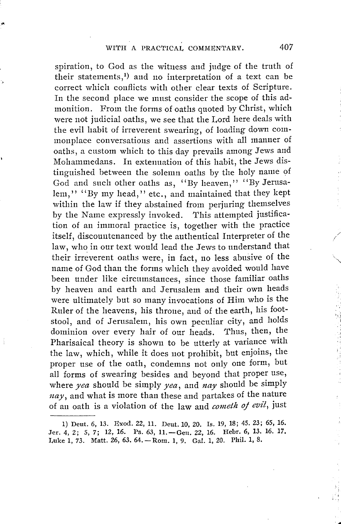spiration, to God as the witness and judge of the truth of their statements,<sup>1</sup>) and no interpretation of a text can be correct which conflicts with other clear texts of Scripture. In the second place we must consider the scope of this admonition. From the forms of oaths quoted by Christ, which were not judicial oaths, we see that the Lord here deals with the evil habit of irreverent swearing, of loading down commonplace conversations and assertions with all manner of oaths, a custom which to this day prevails among Jews and Mohammedans. In extenuation of this habit, the Jews distinguished between the solemn oaths by the holy name of God and such other oaths as, "By heaven," "By Jerusalem," "By my head," etc., and maintained that they kept within the law if they abstained from perjuring themselves by the Name expressly invoked. This attempted justification of an immoral practice is, together with the practice itself, discountenanced by the authentical Interpreter of the law, who in our text would lead the Jews to understand that their irreverent oaths were, in fact, no less abusive of the name of God than the forms which they avoided would have been under like circumstances, since those familiar oaths by heaven and earth and Jerusalem and their own heads were ultimately but so many invocations of Him who is the Ruler of the heavens, his throne, and of the earth, his footstool, and of Jerusalem, his own peculiar city, and holds dominion over every hair of our heads. Thus, then, the Pharisaical theory is shown to be utterly at variance with the law, which, while it does not prohibit, but enjoins, the proper use of the oath, condemns not only one form, but all forms of swearing besides and beyond that proper use, where *yea* should be simply *yea,* and *nay* should be simply *nay,* and what is more than these and partakes of the nature of an oath is a violation of the law and *cometh oj evil,* just

/ /

> 'i i

. ....

<sup>1)</sup> Deut. 6, 13. Exod. 22, 11. Deut. 10, 20. Is. 19, 18; 45. 23; 65, 16. Jer. 4, 2; 5, 7; 12, 16. Ps. 63, 11. - Geu. 22, 16. Hebr. 6, 13. 16. 17. Luke 1, 73. Matt. 26, 63. 64. - Rom. 1, 9. Gal. 1, 20. Phil. 1, 8.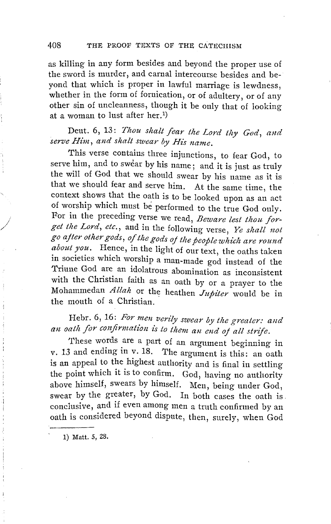as killing in any form besides and beyond the proper use of the sword is murder, and carnal intercourse besides and beyond that which is proper in lawful marriage is lewdness, whether in the form of fornication, or of adultery, or of any other sin of uncleanness, though it be only that of looking at a woman to lust after her. 1)

### Deut. 6, 13: *Thou shalt fear the Lord tliy God, and*  serve Him, and shalt swear by His name.

This verse contains three injunctions, to fear God, to serve him, and to swear by his name; and it is just as truly the will of God that we should swear by his name as it is that we should fear and serve him. At the same time, the context shows that the oath is to be looked upon as an act of worship which must be performed to the true God only. For in the preceding verse we read, *Beware lest thou forget the Lord, etc.,* and in the following verse, *Ye shall not go ajter otker gods, of the gods oj the people wltich are round about you.* Hence, in the light of our text, the oaths taken in societies which worship a man-made god instead of the Triune God are an idolatrous abomination as inconsistent with the Christian faith as an oath by or a prayer to the Mohammedan *Allah* or the heathen *Jupiter* would be in the mouth of a Christian.

### Hehr. 6, 16: *For men verlly swear by the greater: and*  an oath for confirmation is to them an end of all strife.

These words are a part of an argument beginning in v. 13 and ending in v. 18. The argument is this: an oath is an appeal to the highest authority and is final in settling the point which it is to confirm. God, having no authority above himself, swears by himself. Men, being under God, swear by the greater, by God. In both cases the oath is conclusive, and if even among men a truth confirmed by an oath is considered beyond dispute, then, surely, when God

1) Matt. 5, 28.

*J*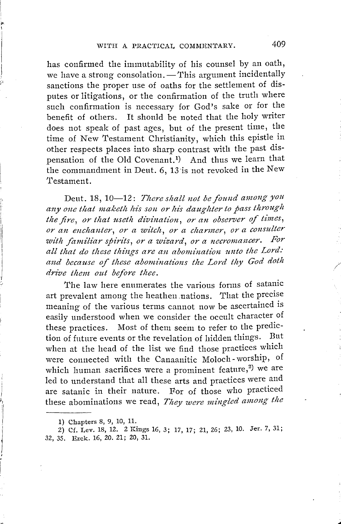),. I

> has confirmed the immutability of his counsel by an oath, we have a strong consolation.  $-$  This argument incidentally sanctions the proper use of oaths for the settlement of disputes or litigations, or the confirmation of the truth where such confirmation is necessary for God's sake or for the benefit of others. It should be noted that the holy writer does not speak of past ages, but of the present time, the time of New Testament Christianity, which this epistle in other respects places into sharp contrast with the past dispensation of the Old Covenant.<sup>1</sup>) And thus we learn that the commandment in Dent. 6, 13·is not revoked in the New Testament.

> Deut. 18, 10-12: There shall not be found among you any one that maketh his son or his daughter to pass through the fire, or that useth divination, or an observer of times, *or an enchanter, or a witch, or a charmer, or a consulter* with familiar spirits, or a wizard, or a necromancer. For all that do these things are an abomination unto the Lord: and because of these abominations the Lord thy God doth *drive them out before thee.*

> The law here enumerates the various forms of satanic art prevalent among the heathen .nations. That the precise meaning of the various terms cannot now be ascertained is easily understood when we consider the occult character of these practices. Most of them seem to refer to the prediction of future events or the revelation of hidden things. But when at the head of the list we find those practices which were connected with the Canaanitic Moloch- worship, of which human sacrifices were a prominent feature, $^{2}$ ) we are led to understand that all these arts and practices were and are satanic in their nature. For of those who practiced these abominations we read, *They were mingled among the*

...

<sup>1)</sup> Chapters 8, 9, 10, 11.

<sup>2)</sup> Cf. Lev. 18, 12. 2 Kings 16, 3; 17, 17; 21, 26; 23, 10. Jer. 7, 31; 32, 35. Ezek. 16, 20. 21; 20, 31.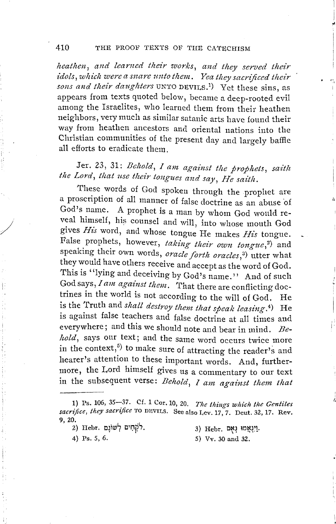heathen, and learned their works, and they served their<br>idols,which were a snare unto them. Yea they sacrificed their<br>sons and their daughters UNTO DEVILS.<sup>1</sup>) Yet these sins, as appears from texts quoted below, became a deep-rooted evil among the Israelites, who learned them from their heathen meighbors, very much as similar satanic arts have found their way from heathen ancestors and oriental nations into the Christian communities of the present day and largely baffie all efforts to eradicate them.

I i -I

i'

Jer. 23, 31: *Behold, I am against the prophets, saith*  the Lord, that use their tongues and say, He saith.

These words of God spoken through the prophet are a proscription of all manner of false doctrine as an abuse 'of God's name. A prophet is a man by whom God would reveal himself, his counsel and will, into whose mouth God gives *Hz'.s* word, and whose tongue He makes *His* tongue. False prophets, however, *taking their own tongue*,<sup>2</sup>) and speaking their own words, *oracle forth oracles*,<sup>3)</sup> utter what they would have others receive and accept as the word of God. This is "lying and deceiving by God's name.'' And of such God says, *I am against them.* That there are conflicting doctrines in the world is not according to the will of God. He is the Truth and *shall destroy them that speak leasing*.<sup>4</sup>) He is against false teachers and false doctrine at all times and everywhere; and this we should note and bear in mind. *Behold*, says our text; and the same word occurs twice more in the context,<sup> $5$ </sup> to make sure of attracting the reader's and hearer's attention to these important words. And, furthermore, the Lord himself gives us a commentary to our text in the subsequent verse: *Behold*, *I am against them that* 

- 
- 3) Hebr. נְיְנְאֲמוּ נְאָם.

/

4) Ps. 5, 6. 5) Vv. 30 and 32.

<sup>1)</sup> Ps. 106, 35-37. Cf. 1 Cor. 10, 20. *The things which the Gentiles* sacrifice, they sacrifice TO DEVILS. See also Lev. 17, 7. Deut. 32, 17. Rev. 9, 20.<br>לֹקְחִים לְשׁוֹנֵם Hebr. ל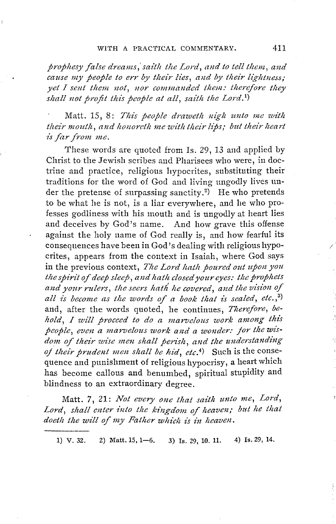*prophesy false dreams,' saith the Lord, and to tell them, and cause my people to err by their lies, and by their lightness; yet I sent them not, nor commanded them: therefore they* shall not profit this people at all, saith the Lord.<sup>1</sup>)

Matt. 15, 8: *This people draweth mgh unto me with their mouth, and lumoreth nie witlt their Ups; but their heart i's far from me.* 

These words are quoted from Is. 29, 13 and applied by Christ to the Jewish scribes and Pharisees who were, in doctrine and practice, religious hypocrites, substituting their traditions for the word of God and living ungodly lives under the pretense of surpassing sanctity.<sup>2)</sup> He who pretends to be what he is not, is a liar everywhere, and he who professes godliness with his mouth and is ungodly at heart lies and deceives by God's name. And how grave this offense against the holy name of God really is, and how fearful its consequences have been in God's dealing with religious hypocrites, appears from the context in Isaiah, where God says in the previous context, *The Lord hath poured out upon you the spirit of deep sleep, and hath closed your eyes: the prophets* and your rulers, the seers hath he covered, and the vision of all is become as the words of a book that is sealed, etc.,<sup>3)</sup> and, after the words quoted, he continues, *Therefore*, be*hold, I will proceed to do a marvelous work among this people, even a marvelous work and a wonder: for the wis*dom of their wise men shall perish, and the understanding *oj their prudent men shall be hid, etc.*4) Such is the consequence and punishment of religious hypocrisy, a heart which has become callous and benumbed, spiritual stupidity and blindness to an extraordinary degree.

Matt. *7,* 21: *Not every one that saith unto me, Lord,*  Lord, shall enter into the kingdom of heaven; but he that doeth the will of my Father which is in heaven.

1) v. 32. 2) Matt. 15, 1-6. 3) Is. 29, 10. 11. 4) Is. 29, 14.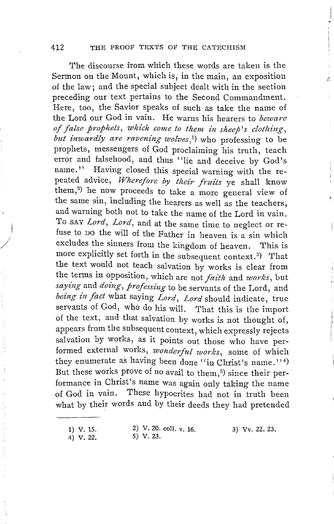The discourse from which these words are taken is the Sermon on the Mount, which is, in the main, an exposition of the law; and the special subject dealt with in the section preceding our text pertains to the Second Commandment. Here, too, the Savior speaks of such as take the name of the Lord our God in vain. He warns his hearers to *beware of false prophets, which come to them in sheep's clothing, but inwardly are ravening wolves,1)* who professing to be prophets, messengers of God proclaiming his truth, teach error and falsehood, and thus "lie and deceive by God's name." Having closed this special warning with the repeated advice, *Wherefore by their fruits* ye shall know them,<sup>2</sup>) he now proceeds to take a more general view of the same sin, including the hearers as well as the teachers, and warning both not to take the name of the Lord in vain. To SAY *Lord, Lord,* and at the same time to neglect or refuse to DO the will of the Father in heaven is a sin which excludes the sinners from the kingdom of heaven. This is more explicitly set forth in the subsequent context.<sup>3</sup>) That the text would not teach salvation by works is clear from the terms in opposition, which are not *faith* and *works*, but *saying* and *doing, professing* to be servants of the Lord, and *being in fact* what saying *Lord, Lord* should indicate, true servants of God, who do his will. That this is the import of the text, and that salvation by works is not thought of, appears from the subsequent context, which expressly rejects salvation by works, as it points out those who have performed external works, *wonderful works,* some of which they enumerate as having been done "in Christ's name."<sup>4)</sup> But these works prove of no avail to them,<sup>5)</sup> since their performance **in** Christ's name was again only taking the name of God in vain. These hypocrites had not in truth been what by their words and by their deeds they had pretended

**1) v.** 15. 4) v. 22.

2) V. 20. coll. v. 16. 5) v. 23.

3) Vv. 22. 23.

 $\vert$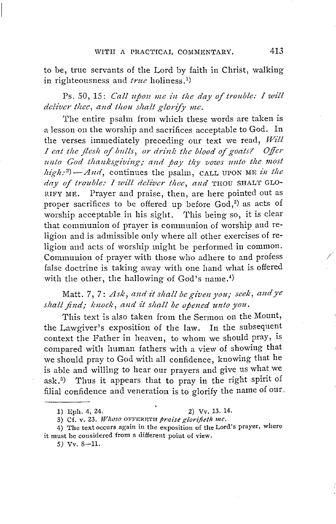to be, true servants of the Lord by faith in Christ, walking in righteousness and *true* holiness.<sup>1</sup>)

Ps. 50, 15: *Call upon me in the day of trouble: I will deliver thee, and thou shalt glorify me.* 

The entire psalm from which these words are taken is a lesson on the worship and sacrifices acceptable to God. In the verses immediately preceding our text we read, *Will I eat the flesh of bulls, or drink the blood of goats? Offer* unto God thanksgiving; and pay thy vows unto the most  $high:$ <sup>2</sup> $-And$ , continues the psalm, CALL UPON ME *in the day of trouble: I will deliver thee, and* THOU SHAL'f GLO-RIFY ME. Prayer and praise, then, are here pointed out as proper sacrifices to be offered up before  $\operatorname{God},^3)$  as acts of worship acceptable in his sight. This being so, it is clear that communion of prayer is communion of worship and religion and is admissible only where all other exercises of religion and acts of worship might be performed in common. Communion of prayer with those who adhere to and profess false doctrine is taking away with one hand what is offered with the other, the hallowing of God's name.<sup>4)</sup>

Matt. 7, 7: Ask, and it shall be given you; seek, and ye shall find; knock, and it shall be opened unto you.

This text is also taken from the Sermon on the Mount, the Lawgiver's exposition of the law. In the subsequent context the Father in heaven, to whom we should pray, is compared with human fathers with a view of showing that we should pray to God with all confidence, knowing that he is able and willing to hear our prayers and give us what we ask.<sup>5)</sup> Thus it appears that to pray in the right spirit of filial confidence and veneration is to glorify the name of our,

3) Cf. v. 23. *Whoso* OFFERETH *praise glorifieth me.* 

4) The text occurs again in the exposition of the Lord's prayer, where it must be considered from a different point of view.

*5)* Vv. 8-11.

<sup>1)</sup> Eph. 4, 24. 2) Vv. 13. 14.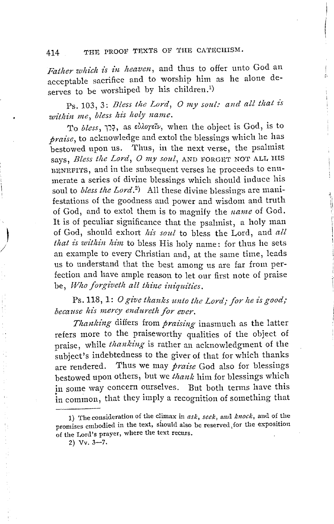### 414 THE PROOF TEXTS OF THE CATECHISM.

*Father which is in heaven*, and thus to offer unto God an acceptable sacrifice and to worship him as he alone deserves to be worshiped by his children.<sup>1</sup>

 $\zeta$ 

 $\ddagger$ ii I

Ps. 103, 3: *Bless the Lord, O my soul: and all that is within me, bless his holy name.* 

'J'o *bless,* Tl?, as *sliJ.orsiv,* when the object is God, is to *praise,* to acknowledge and extol the blessings which he has bestowed upon us. Thus, in the next verse, the psalmist says, *Bless the Lord, O my soul*, AND FORGET NOT ALL HIS BENEFITS, and in the subsequent verses he proceeds to enumerate a series of divine blessings which should induce his soul to *bless the Lord*.<sup>2</sup>) All these divine blessings are manifestations of the goodness and power and wisdom and truth of God, and to extol them is to magnify the *nanze* of God. It is of peculiar significance that the psalmist, a holy man of God, should exhort his soul to bless the Lord, and all that is within him to bless His holy name: for thus he sets an example to every Christian and, at the same time, leads us to understand that the best among us are far from perfection and have ample reason to let our first note of praise be, Who forgiveth all thine iniquities.

Ps. 118, 1: *O give thanks unto the Lord; for he is good; because his mercy endureth for ever.* 

*Thanking* differs from *praz'sing* inasmuch as the latter refers more to the praiseworthy qualities of the object of praise, while *thanking* is rather an acknowledgment of the subject's indebtedness to the giver of that for which thanks are rendered. 'l'hus we may *praise* God also for blessings bestowed upon others, but we *thank* him for blessings which in some way concern ourselves. But both terms have this in common, that they imply a recognition of something that

<sup>1)</sup> The consideration of the cl\_imax in *ask, seek,* and *knock,* and of the promises embodied in the text, should also be reserved, for the exposition of the Lord's prayer, where the text recurs.

 $2) \text{ Vv. } 3 - 7.$